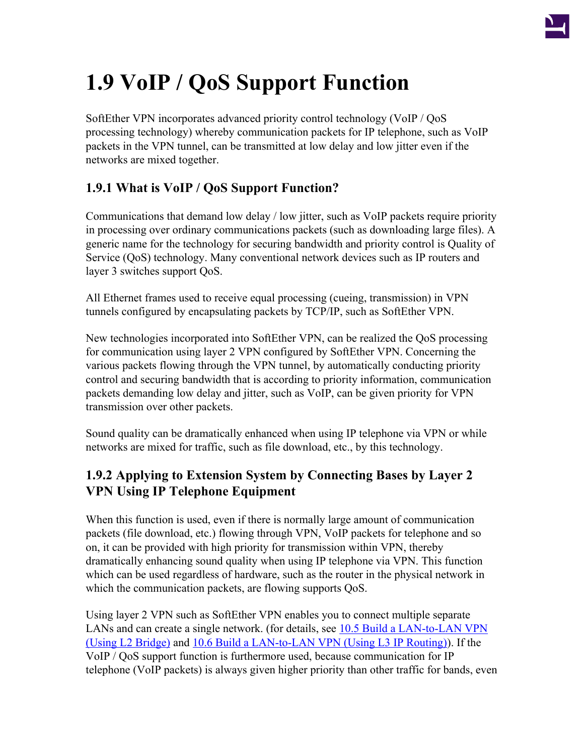

# **1.9 VoIP / QoS Support Function**

SoftEther VPN incorporates advanced priority control technology (VoIP / QoS processing technology) whereby communication packets for IP telephone, such as VoIP packets in the VPN tunnel, can be transmitted at low delay and low jitter even if the networks are mixed together.

## **1.9.1 What is VoIP / QoS Support Function?**

Communications that demand low delay / low jitter, such as VoIP packets require priority in processing over ordinary communications packets (such as downloading large files). A generic name for the technology for securing bandwidth and priority control is Quality of Service (QoS) technology. Many conventional network devices such as IP routers and layer 3 switches support QoS.

All Ethernet frames used to receive equal processing (cueing, transmission) in VPN tunnels configured by encapsulating packets by TCP/IP, such as SoftEther VPN.

New technologies incorporated into SoftEther VPN, can be realized the QoS processing for communication using layer 2 VPN configured by SoftEther VPN. Concerning the various packets flowing through the VPN tunnel, by automatically conducting priority control and securing bandwidth that is according to priority information, communication packets demanding low delay and jitter, such as VoIP, can be given priority for VPN transmission over other packets.

Sound quality can be dramatically enhanced when using IP telephone via VPN or while networks are mixed for traffic, such as file download, etc., by this technology.

## **1.9.2 Applying to Extension System by Connecting Bases by Layer 2 VPN Using IP Telephone Equipment**

When this function is used, even if there is normally large amount of communication packets (file download, etc.) flowing through VPN, VoIP packets for telephone and so on, it can be provided with high priority for transmission within VPN, thereby dramatically enhancing sound quality when using IP telephone via VPN. This function which can be used regardless of hardware, such as the router in the physical network in which the communication packets, are flowing supports QoS.

Using layer 2 VPN such as SoftEther VPN enables you to connect multiple separate LANs and can create a single network. (for details, see [10.5 Build a LAN-to-LAN VPN](http://www.softether.org/4-docs/1-manual/A._Examples_of_Building_VPN_Networks/10.5_Build_a_LAN-to-LAN_VPN_(Using_L2_Bridge)) [\(Using L2 Bridge\)](http://www.softether.org/4-docs/1-manual/A._Examples_of_Building_VPN_Networks/10.5_Build_a_LAN-to-LAN_VPN_(Using_L2_Bridge)) and [10.6 Build a LAN-to-LAN VPN \(Using L3 IP Routing\)\)](http://www.softether.org/4-docs/1-manual/A._Examples_of_Building_VPN_Networks/10.6_Build_a_LAN-to-LAN_VPN_(Using_L3_IP_Routing)). If the VoIP / QoS support function is furthermore used, because communication for IP telephone (VoIP packets) is always given higher priority than other traffic for bands, even